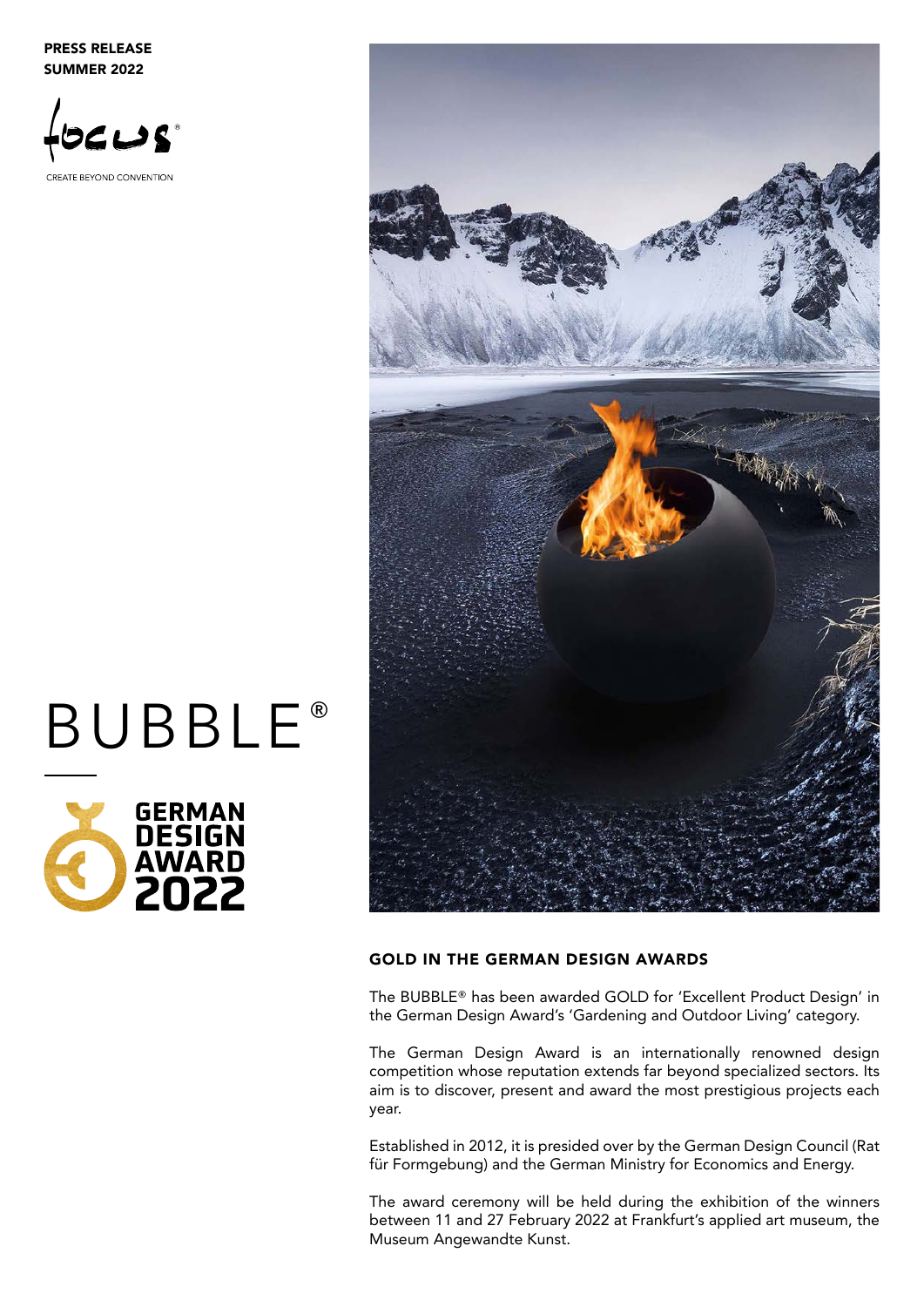PRESS RELEASE SUMMER 2022





# **BUBBLE®**



### GOLD IN THE GERMAN DESIGN AWARDS

The BUBBLE® has been awarded GOLD for 'Excellent Product Design' in the German Design Award's 'Gardening and Outdoor Living' category.

The German Design Award is an internationally renowned design competition whose reputation extends far beyond specialized sectors. Its aim is to discover, present and award the most prestigious projects each year.

Established in 2012, it is presided over by the German Design Council (Rat für Formgebung) and the German Ministry for Economics and Energy.

The award ceremony will be held during the exhibition of the winners between 11 and 27 February 2022 at Frankfurt's applied art museum, the Museum Angewandte Kunst.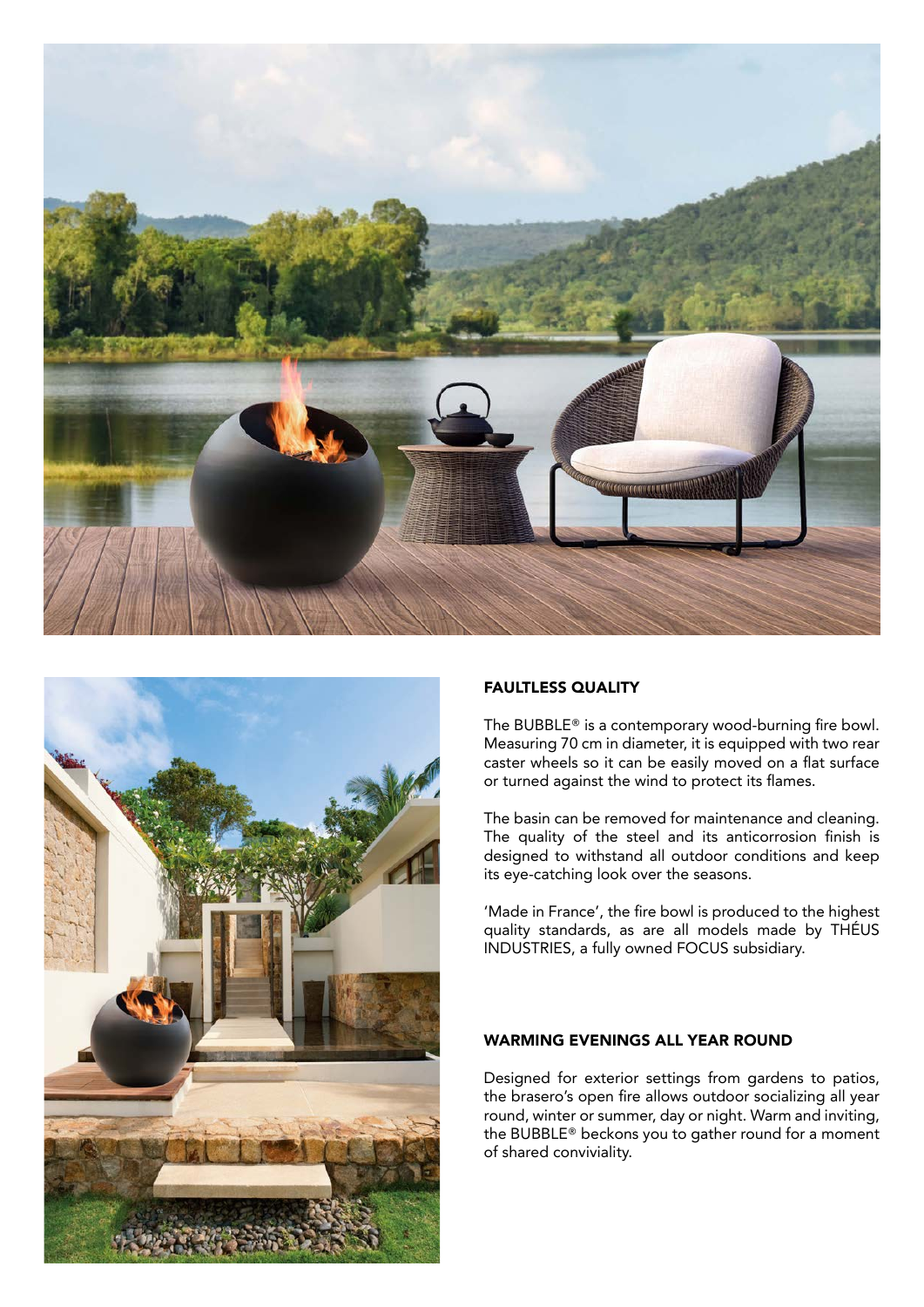



#### FAULTLESS QUALITY

The BUBBLE® is a contemporary wood-burning fire bowl. Measuring 70 cm in diameter, it is equipped with two rear caster wheels so it can be easily moved on a flat surface or turned against the wind to protect its flames.

The basin can be removed for maintenance and cleaning. The quality of the steel and its anticorrosion finish is designed to withstand all outdoor conditions and keep its eye-catching look over the seasons.

'Made in France', the fire bowl is produced to the highest quality standards, as are all models made by THÉUS INDUSTRIES, a fully owned FOCUS subsidiary.

#### WARMING EVENINGS ALL YEAR ROUND

Designed for exterior settings from gardens to patios, the brasero's open fire allows outdoor socializing all year round, winter or summer, day or night. Warm and inviting, the BUBBLE® beckons you to gather round for a moment of shared conviviality.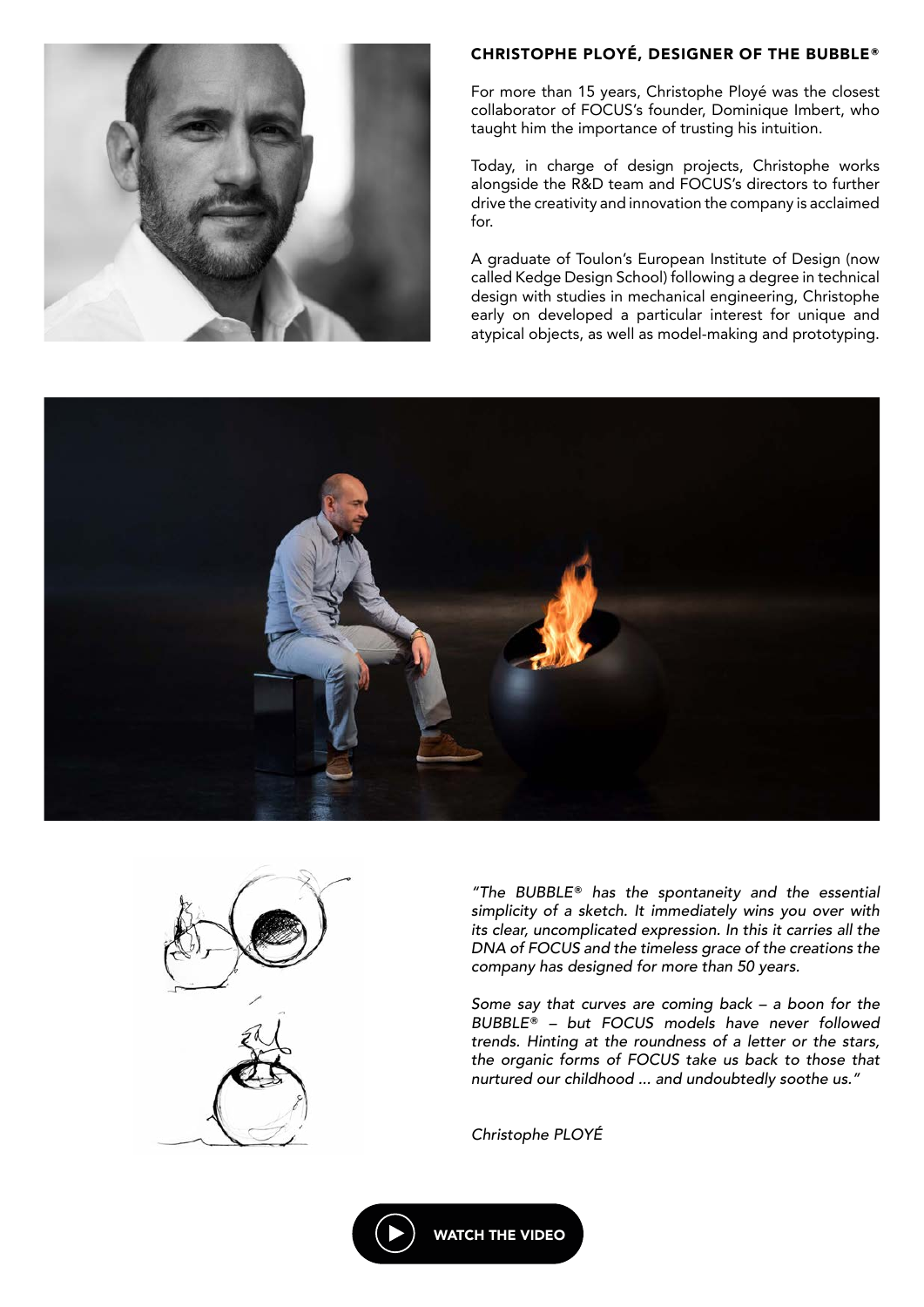



For more than 15 years, Christophe Ployé was the closest collaborator of FOCUS's founder, Dominique Imbert, who taught him the importance of trusting his intuition.

Today, in charge of design projects, Christophe works alongside the R&D team and FOCUS's directors to further drive the creativity and innovation the company is acclaimed for.

A graduate of Toulon's European Institute of Design (now called Kedge Design School) following a degree in technical design with studies in mechanical engineering, Christophe early on developed a particular interest for unique and atypical objects, as well as model-making and prototyping.





*"The BUBBLE® has the spontaneity and the essential simplicity of a sketch. It immediately wins you over with its clear, uncomplicated expression. In this it carries all the DNA of FOCUS and the timeless grace of the creations the company has designed for more than 50 years.*

*Some say that curves are coming back – a boon for the BUBBLE® – but FOCUS models have never followed trends. Hinting at the roundness of a letter or the stars, the organic forms of FOCUS take us back to those that nurtured our childhood ... and undoubtedly soothe us."*

*Christophe PLOYÉ*